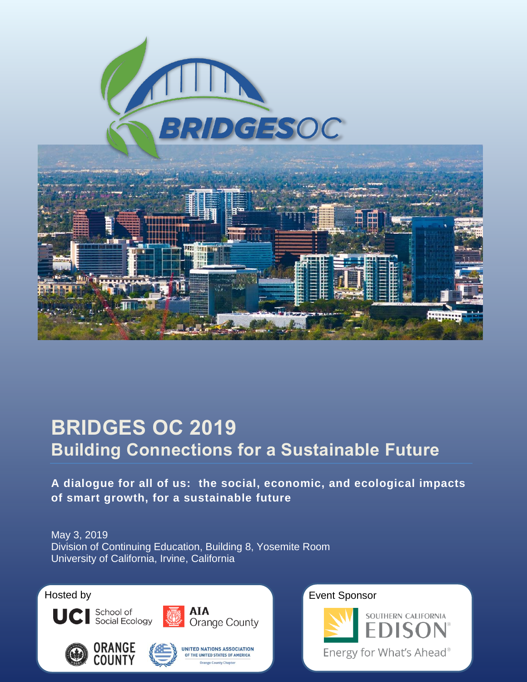

# **BRIDGES OC 2019 Building Connections for a Sustainable Future**

**A dialogue for all of us: the social, economic, and ecological impacts of smart growth, for a sustainable future**

May 3, 2019 Division of Continuing Education, Building 8, Yosemite Room University of California, Irvine, California













Hosted by **Event Sponsor** 

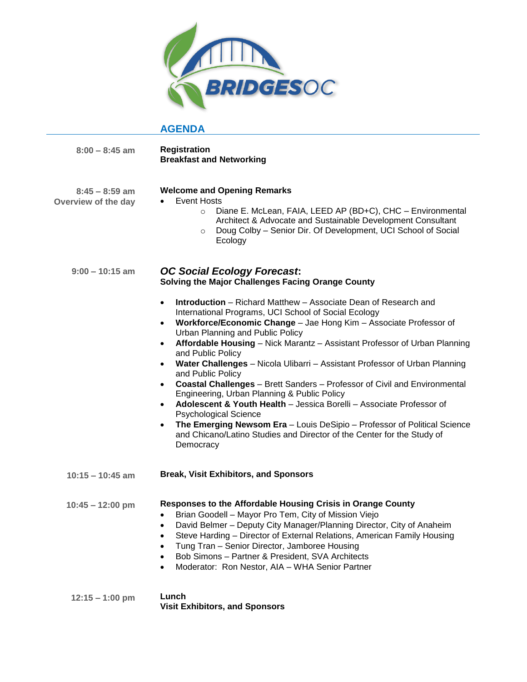

# **AGENDA**

| $8:00 - 8:45$ am                        | <b>Registration</b><br><b>Breakfast and Networking</b>                                                                                                                                                                                                                                                                                                                                                                                                                                                                                                                                                                                                                                                                                                                                                                                                                                                                                |
|-----------------------------------------|---------------------------------------------------------------------------------------------------------------------------------------------------------------------------------------------------------------------------------------------------------------------------------------------------------------------------------------------------------------------------------------------------------------------------------------------------------------------------------------------------------------------------------------------------------------------------------------------------------------------------------------------------------------------------------------------------------------------------------------------------------------------------------------------------------------------------------------------------------------------------------------------------------------------------------------|
| $8:45 - 8:59$ am<br>Overview of the day | <b>Welcome and Opening Remarks</b><br>Event Hosts<br>Diane E. McLean, FAIA, LEED AP (BD+C), CHC - Environmental<br>$\circ$<br>Architect & Advocate and Sustainable Development Consultant<br>Doug Colby - Senior Dir. Of Development, UCI School of Social<br>$\circ$<br>Ecology                                                                                                                                                                                                                                                                                                                                                                                                                                                                                                                                                                                                                                                      |
| $9:00 - 10:15$ am                       | <b>OC Social Ecology Forecast:</b><br>Solving the Major Challenges Facing Orange County                                                                                                                                                                                                                                                                                                                                                                                                                                                                                                                                                                                                                                                                                                                                                                                                                                               |
|                                         | <b>Introduction</b> – Richard Matthew – Associate Dean of Research and<br>$\bullet$<br>International Programs, UCI School of Social Ecology<br>Workforce/Economic Change - Jae Hong Kim - Associate Professor of<br>$\bullet$<br>Urban Planning and Public Policy<br>Affordable Housing - Nick Marantz - Assistant Professor of Urban Planning<br>$\bullet$<br>and Public Policy<br>Water Challenges - Nicola Ulibarri - Assistant Professor of Urban Planning<br>٠<br>and Public Policy<br><b>Coastal Challenges</b> - Brett Sanders - Professor of Civil and Environmental<br>$\bullet$<br>Engineering, Urban Planning & Public Policy<br>Adolescent & Youth Health - Jessica Borelli - Associate Professor of<br>$\bullet$<br><b>Psychological Science</b><br>The Emerging Newsom Era - Louis DeSipio - Professor of Political Science<br>٠<br>and Chicano/Latino Studies and Director of the Center for the Study of<br>Democracy |
| $10:15 - 10:45$ am                      | <b>Break, Visit Exhibitors, and Sponsors</b>                                                                                                                                                                                                                                                                                                                                                                                                                                                                                                                                                                                                                                                                                                                                                                                                                                                                                          |
| $10:45 - 12:00$ pm                      | Responses to the Affordable Housing Crisis in Orange County<br>Brian Goodell - Mayor Pro Tem, City of Mission Viejo<br>David Belmer - Deputy City Manager/Planning Director, City of Anaheim<br>Steve Harding - Director of External Relations, American Family Housing<br>٠<br>Tung Tran - Senior Director, Jamboree Housing<br>Bob Simons - Partner & President, SVA Architects<br>Moderator: Ron Nestor, AIA - WHA Senior Partner                                                                                                                                                                                                                                                                                                                                                                                                                                                                                                  |
| $12:15 - 1:00$ pm                       | Lunch<br><b>Visit Exhibitors, and Sponsors</b>                                                                                                                                                                                                                                                                                                                                                                                                                                                                                                                                                                                                                                                                                                                                                                                                                                                                                        |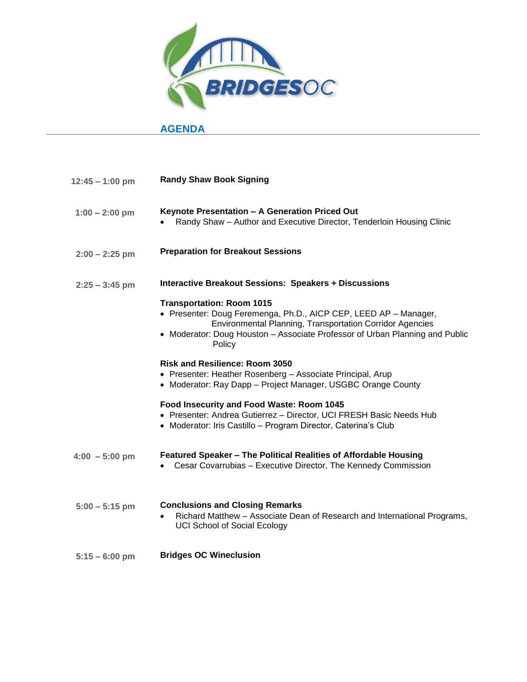

#### **AGENDA**

| $12:45 - 1:00$ pm | <b>Randy Shaw Book Signing</b>                                                                                                                                                                                                                             |
|-------------------|------------------------------------------------------------------------------------------------------------------------------------------------------------------------------------------------------------------------------------------------------------|
| $1:00 - 2:00$ pm  | Keynote Presentation - A Generation Priced Out<br>Randy Shaw - Author and Executive Director, Tenderloin Housing Clinic                                                                                                                                    |
| $2:00 - 2:25$ pm  | <b>Preparation for Breakout Sessions</b>                                                                                                                                                                                                                   |
| $2:25 - 3:45$ pm  | <b>Interactive Breakout Sessions: Speakers + Discussions</b>                                                                                                                                                                                               |
|                   | <b>Transportation: Room 1015</b><br>• Presenter: Doug Feremenga, Ph.D., AICP CEP, LEED AP - Manager,<br>Environmental Planning, Transportation Corridor Agencies<br>• Moderator: Doug Houston - Associate Professor of Urban Planning and Public<br>Policy |
|                   | <b>Risk and Resilience: Room 3050</b><br>• Presenter: Heather Rosenberg - Associate Principal, Arup<br>• Moderator: Ray Dapp - Project Manager, USGBC Orange County                                                                                        |
|                   | Food Insecurity and Food Waste: Room 1045<br>• Presenter: Andrea Gutierrez - Director, UCI FRESH Basic Needs Hub<br>• Moderator: Iris Castillo - Program Director, Caterina's Club                                                                         |
| $4:00 - 5:00$ pm  | Featured Speaker - The Political Realities of Affordable Housing<br>Cesar Covarrubias - Executive Director, The Kennedy Commission                                                                                                                         |
| $5:00 - 5:15$ pm  | <b>Conclusions and Closing Remarks</b><br>Richard Matthew - Associate Dean of Research and International Programs,<br><b>UCI School of Social Ecology</b>                                                                                                  |
| $5:15 - 6:00$ pm  | <b>Bridges OC Wineclusion</b>                                                                                                                                                                                                                              |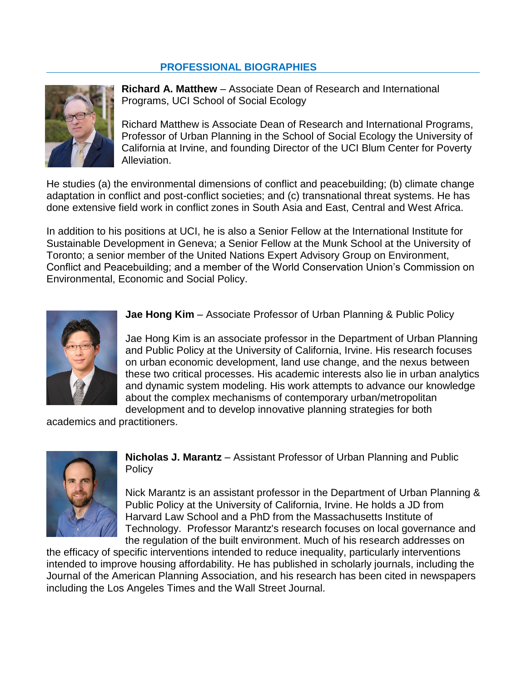#### **PROFESSIONAL BIOGRAPHIES**



**Richard A. Matthew** – Associate Dean of Research and International Programs, UCI School of Social Ecology

Richard Matthew is Associate Dean of Research and International Programs, Professor of Urban Planning in the School of Social Ecology the University of California at Irvine, and founding Director of the UCI Blum Center for Poverty Alleviation.

He studies (a) the environmental dimensions of conflict and peacebuilding; (b) climate change adaptation in conflict and post-conflict societies; and (c) transnational threat systems. He has done extensive field work in conflict zones in South Asia and East, Central and West Africa.

In addition to his positions at UCI, he is also a Senior Fellow at the International Institute for Sustainable Development in Geneva; a Senior Fellow at the Munk School at the University of Toronto; a senior member of the United Nations Expert Advisory Group on Environment, Conflict and Peacebuilding; and a member of the World Conservation Union's Commission on Environmental, Economic and Social Policy.



**Jae Hong Kim** – Associate Professor of Urban Planning & Public Policy

Jae Hong Kim is an associate professor in the Department of Urban Planning and Public Policy at the University of California, Irvine. His research focuses on urban economic development, land use change, and the nexus between these two critical processes. His academic interests also lie in urban analytics and dynamic system modeling. His work attempts to advance our knowledge about the complex mechanisms of contemporary urban/metropolitan development and to develop innovative planning strategies for both

academics and practitioners.



**Nicholas J. Marantz** – Assistant Professor of Urban Planning and Public Policy

Nick Marantz is an assistant professor in the Department of Urban Planning & Public Policy at the University of California, Irvine. He holds a JD from Harvard Law School and a PhD from the Massachusetts Institute of Technology. Professor Marantz's research focuses on local governance and the regulation of the built environment. Much of his research addresses on

the efficacy of specific interventions intended to reduce inequality, particularly interventions intended to improve housing affordability. He has published in scholarly journals, including the Journal of the American Planning Association, and his research has been cited in newspapers including the Los Angeles Times and the Wall Street Journal.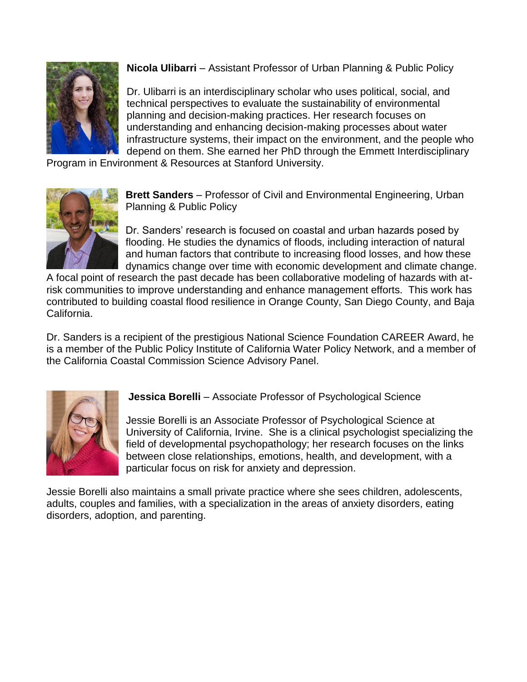

**Nicola Ulibarri** – Assistant Professor of Urban Planning & Public Policy

Dr. Ulibarri is an interdisciplinary scholar who uses political, social, and technical perspectives to evaluate the sustainability of environmental planning and decision-making practices. Her research focuses on understanding and enhancing decision-making processes about water infrastructure systems, their impact on the environment, and the people who depend on them. She earned her PhD through the Emmett Interdisciplinary

Program in Environment & Resources at Stanford University.



**Brett Sanders** – Professor of Civil and Environmental Engineering, Urban Planning & Public Policy

Dr. Sanders' research is focused on coastal and urban hazards posed by flooding. He studies the dynamics of floods, including interaction of natural and human factors that contribute to increasing flood losses, and how these dynamics change over time with economic development and climate change.

A focal point of research the past decade has been collaborative modeling of hazards with atrisk communities to improve understanding and enhance management efforts. This work has contributed to building coastal flood resilience in Orange County, San Diego County, and Baja California.

Dr. Sanders is a recipient of the prestigious National Science Foundation CAREER Award, he is a member of the Public Policy Institute of California Water Policy Network, and a member of the California Coastal Commission Science Advisory Panel.



**Jessica Borelli** – Associate Professor of Psychological Science

Jessie Borelli is an Associate Professor of Psychological Science at University of California, Irvine. She is a clinical psychologist specializing the field of developmental psychopathology; her research focuses on the links between close relationships, emotions, health, and development, with a particular focus on risk for anxiety and depression.

Jessie Borelli also maintains a small private practice where she sees children, adolescents, adults, couples and families, with a specialization in the areas of anxiety disorders, eating disorders, adoption, and parenting.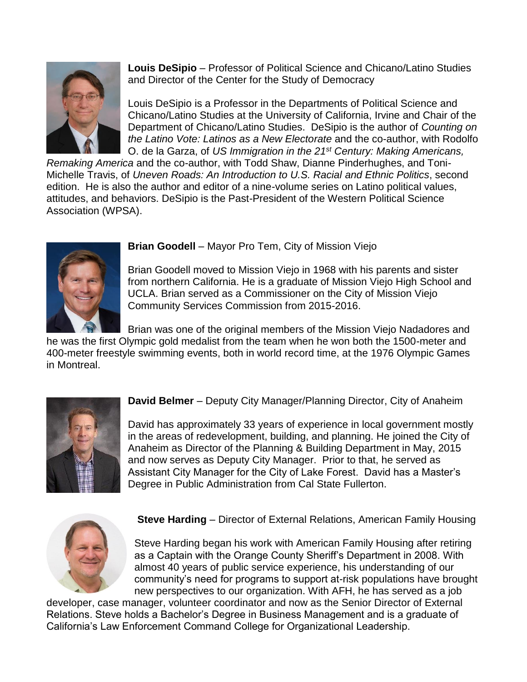

**Louis DeSipio** – Professor of Political Science and Chicano/Latino Studies and Director of the Center for the Study of Democracy

Louis DeSipio is a Professor in the Departments of Political Science and Chicano/Latino Studies at the University of California, Irvine and Chair of the Department of Chicano/Latino Studies. DeSipio is the author of *Counting on the Latino Vote: Latinos as a New Electorate* and the co-author, with Rodolfo O. de la Garza, of *US Immigration in the 21st Century: Making Americans,* 

*Remaking America* and the co-author, with Todd Shaw, Dianne Pinderhughes, and Toni-Michelle Travis, of *Uneven Roads: An Introduction to U.S. Racial and Ethnic Politics*, second edition. He is also the author and editor of a nine-volume series on Latino political values, attitudes, and behaviors. DeSipio is the Past-President of the Western Political Science Association (WPSA).



**Brian Goodell** – Mayor Pro Tem, City of Mission Viejo

Brian Goodell moved to Mission Viejo in 1968 with his parents and sister from northern California. He is a graduate of Mission Viejo High School and UCLA. Brian served as a Commissioner on the City of Mission Viejo Community Services Commission from 2015-2016.

Brian was one of the original members of the Mission Viejo Nadadores and he was the first Olympic gold medalist from the team when he won both the 1500-meter and 400-meter freestyle swimming events, both in world record time, at the 1976 Olympic Games in Montreal.



**David Belmer** – Deputy City Manager/Planning Director, City of Anaheim

David has approximately 33 years of experience in local government mostly in the areas of redevelopment, building, and planning. He joined the City of Anaheim as Director of the Planning & Building Department in May, 2015 and now serves as Deputy City Manager. Prior to that, he served as Assistant City Manager for the City of Lake Forest. David has a Master's Degree in Public Administration from Cal State Fullerton.



**Steve Harding** – Director of External Relations, American Family Housing

Steve Harding began his work with American Family Housing after retiring as a Captain with the Orange County Sheriff's Department in 2008. With almost 40 years of public service experience, his understanding of our community's need for programs to support at-risk populations have brought new perspectives to our organization. With AFH, he has served as a job

developer, case manager, volunteer coordinator and now as the Senior Director of External Relations. Steve holds a Bachelor's Degree in Business Management and is a graduate of California's Law Enforcement Command College for Organizational Leadership.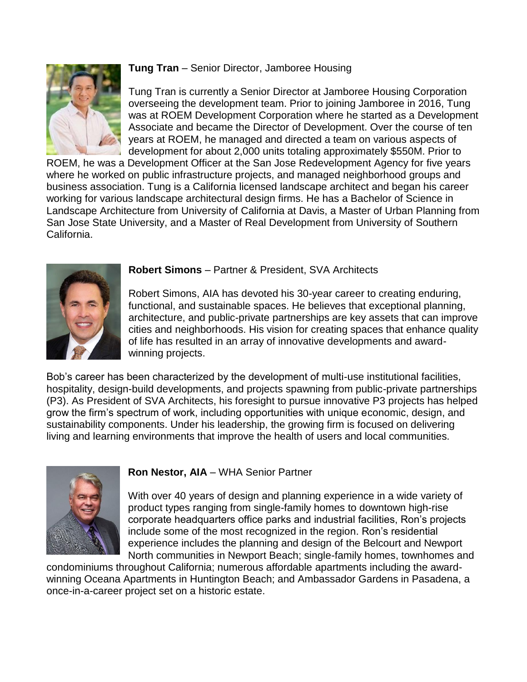

# **Tung Tran** – Senior Director, Jamboree Housing

Tung Tran is currently a Senior Director at Jamboree Housing Corporation overseeing the development team. Prior to joining Jamboree in 2016, Tung was at ROEM Development Corporation where he started as a Development Associate and became the Director of Development. Over the course of ten years at ROEM, he managed and directed a team on various aspects of development for about 2,000 units totaling approximately \$550M. Prior to

ROEM, he was a Development Officer at the San Jose Redevelopment Agency for five years where he worked on public infrastructure projects, and managed neighborhood groups and business association. Tung is a California licensed landscape architect and began his career working for various landscape architectural design firms. He has a Bachelor of Science in Landscape Architecture from University of California at Davis, a Master of Urban Planning from San Jose State University, and a Master of Real Development from University of Southern California.



#### **Robert Simons** – Partner & President, SVA Architects

Robert Simons, AIA has devoted his 30-year career to creating enduring, functional, and sustainable spaces. He believes that exceptional planning, architecture, and public-private partnerships are key assets that can improve cities and neighborhoods. His vision for creating spaces that enhance quality of life has resulted in an array of innovative developments and awardwinning projects.

Bob's career has been characterized by the development of multi-use institutional facilities, hospitality, design-build developments, and projects spawning from public-private partnerships (P3). As President of SVA Architects, his foresight to pursue innovative P3 projects has helped grow the firm's spectrum of work, including opportunities with unique economic, design, and sustainability components. Under his leadership, the growing firm is focused on delivering living and learning environments that improve the health of users and local communities.



### **Ron Nestor, AIA** – WHA Senior Partner

With over 40 years of design and planning experience in a wide variety of product types ranging from single-family homes to downtown high-rise corporate headquarters office parks and industrial facilities, Ron's projects include some of the most recognized in the region. Ron's residential experience includes the planning and design of the Belcourt and Newport North communities in Newport Beach; single-family homes, townhomes and

condominiums throughout California; numerous affordable apartments including the awardwinning Oceana Apartments in Huntington Beach; and Ambassador Gardens in Pasadena, a once-in-a-career project set on a historic estate.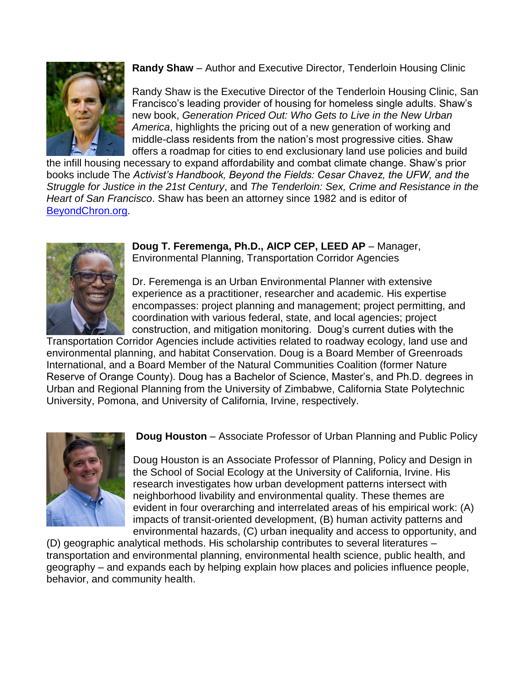

**Randy Shaw** – Author and Executive Director, Tenderloin Housing Clinic

Randy Shaw is the Executive Director of the Tenderloin Housing Clinic, San Francisco's leading provider of housing for homeless single adults. Shaw's new book, *Generation Priced Out: Who Gets to Live in the New Urban America*, highlights the pricing out of a new generation of working and middle-class residents from the nation's most progressive cities. Shaw offers a roadmap for cities to end exclusionary land use policies and build

the infill housing necessary to expand affordability and combat climate change. Shaw's prior books include The *Activist's Handbook, Beyond the Fields: Cesar Chavez, the UFW, and the Struggle for Justice in the 21st Century*, and *The Tenderloin: Sex, Crime and Resistance in the Heart of San Francisco*. Shaw has been an attorney since 1982 and is editor of [BeyondChron.org.](file://vfacstaff2.soceco.uci.edu/Advancement$/Events/Bridges%20OC/2019/Randy%20Shaw%20is%20the%20Executive%20Director%20of%20the%20Tenderloin%20Housing%20Clinic,%20San%20Francisco’s%20leading%20provider%20of%20housing%20for%20homeless%20single%20adults.%20Shaw’s%20new%20book,%20Generation%20Priced%20Out:%20Who%20Gets%20to%20Live%20in%20the%20New%20Urban%20America,%20highlights%20the%20pricing%20out%20of%20a%20new%20generation%20of%20working%20and%20middle-class%20residents%20from%20the%20nation’s%20most%20progressive%20cities.%20Shaw%20offers%20a%20roadmap%20for%20cities%20to%20end%20exclusionary%20land%20use%20policies%20and%20build%20the%20infill%20housing%20necessary%20to%20expand%20affordability%20and%20combat%20climate%20change.%20Shaw’s%20prior%20books%20include%20The%20Activist’s%20Handbook,%20Beyond%20the%20Fields:%20Cesar%20Chavez,%20the%20UFW,%20and%20the%20Struggle%20for%20Justice%20in%20the%2021st%20Century,%20and%20The%20Tenderloin:%20Sex,%20Crime%20and%20Resistance%20in%20the%20Heart%20oBeyondChron.org)



**Doug T. Feremenga, Ph.D., AICP CEP, LEED AP** – Manager, Environmental Planning, Transportation Corridor Agencies

Dr. Feremenga is an Urban Environmental Planner with extensive experience as a practitioner, researcher and academic. His expertise encompasses: project planning and management; project permitting, and coordination with various federal, state, and local agencies; project construction, and mitigation monitoring. Doug's current duties with the

Transportation Corridor Agencies include activities related to roadway ecology, land use and environmental planning, and habitat Conservation. Doug is a Board Member of Greenroads International, and a Board Member of the Natural Communities Coalition (former Nature Reserve of Orange County). Doug has a Bachelor of Science, Master's, and Ph.D. degrees in Urban and Regional Planning from the University of Zimbabwe, California State Polytechnic University, Pomona, and University of California, Irvine, respectively.



**Doug Houston** – Associate Professor of Urban Planning and Public Policy

Doug Houston is an Associate Professor of Planning, Policy and Design in the School of Social Ecology at the University of California, Irvine. His research investigates how urban development patterns intersect with neighborhood livability and environmental quality. These themes are evident in four overarching and interrelated areas of his empirical work: (A) impacts of transit-oriented development, (B) human activity patterns and environmental hazards, (C) urban inequality and access to opportunity, and

(D) geographic analytical methods. His scholarship contributes to several literatures – transportation and environmental planning, environmental health science, public health, and geography – and expands each by helping explain how places and policies influence people, behavior, and community health.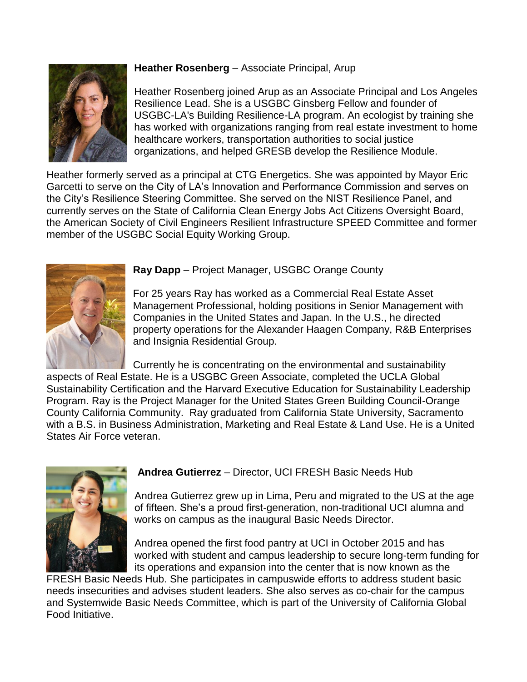

# **Heather Rosenberg** – Associate Principal, Arup

Heather Rosenberg joined Arup as an Associate Principal and Los Angeles Resilience Lead. She is a USGBC Ginsberg Fellow and founder of USGBC-LA's Building Resilience-LA program. An ecologist by training she has worked with organizations ranging from real estate investment to home healthcare workers, transportation authorities to social justice organizations, and helped GRESB develop the Resilience Module.

Heather formerly served as a principal at CTG Energetics. She was appointed by Mayor Eric Garcetti to serve on the City of LA's Innovation and Performance Commission and serves on the City's Resilience Steering Committee. She served on the NIST Resilience Panel, and currently serves on the State of California Clean Energy Jobs Act Citizens Oversight Board, the American Society of Civil Engineers Resilient Infrastructure SPEED Committee and former member of the USGBC Social Equity Working Group.



**Ray Dapp** – Project Manager, USGBC Orange County

For 25 years Ray has worked as a Commercial Real Estate Asset Management Professional, holding positions in Senior Management with Companies in the United States and Japan. In the U.S., he directed property operations for the Alexander Haagen Company, R&B Enterprises and Insignia Residential Group.

Currently he is concentrating on the environmental and sustainability aspects of Real Estate. He is a USGBC Green Associate, completed the UCLA Global Sustainability Certification and the Harvard Executive Education for Sustainability Leadership Program. Ray is the Project Manager for the United States Green Building Council-Orange County California Community. Ray graduated from California State University, Sacramento with a B.S. in Business Administration, Marketing and Real Estate & Land Use. He is a United States Air Force veteran.



**Andrea Gutierrez** – Director, UCI FRESH Basic Needs Hub

Andrea Gutierrez grew up in Lima, Peru and migrated to the US at the age of fifteen. She's a proud first-generation, non-traditional UCI alumna and works on campus as the inaugural Basic Needs Director.

Andrea opened the first food pantry at UCI in October 2015 and has worked with student and campus leadership to secure long-term funding for its operations and expansion into the center that is now known as the

FRESH Basic Needs Hub. She participates in campuswide efforts to address student basic needs insecurities and advises student leaders. She also serves as co-chair for the campus and Systemwide Basic Needs Committee, which is part of the University of California Global Food Initiative.